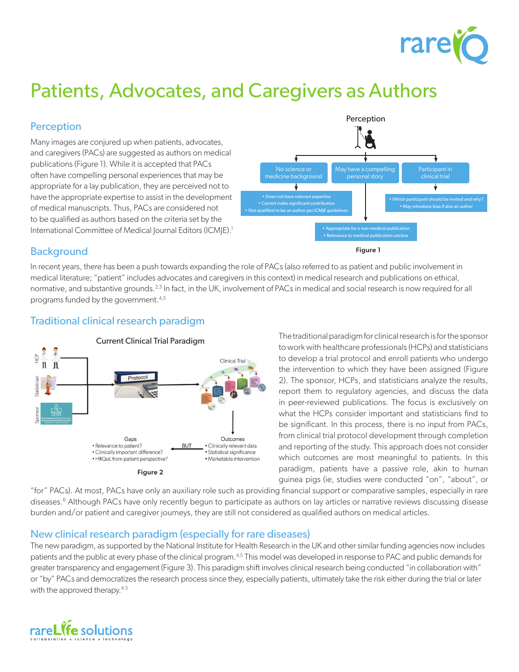

# Patients, Advocates, and Caregivers as Authors

# **Perception**

Many images are conjured up when patients, advocates, and caregivers (PACs) are suggested as authors on medical publications (Figure 1). While it is accepted that PACs often have compelling personal experiences that may be appropriate for a lay publication, they are perceived not to have the appropriate expertise to assist in the development of medical manuscripts. Thus, PACs are considered not to be qualified as authors based on the criteria set by the International Committee of Medical Journal Editors (ICMJE).<sup>1</sup>



## **Background**

In recent years, there has been a push towards expanding the role of PACs (also referred to as patient and public involvement in medical literature; "patient" includes advocates and caregivers in this context) in medical research and publications on ethical, normative, and substantive grounds.<sup>2,3</sup> In fact, in the UK, involvement of PACs in medical and social research is now required for all programs funded by the government.4,5

# Traditional clinical research paradigm



The traditional paradigm for clinical research is for the sponsor to work with healthcare professionals (HCPs) and statisticians to develop a trial protocol and enroll patients who undergo the intervention to which they have been assigned (Figure 2). The sponsor, HCPs, and statisticians analyze the results, report them to regulatory agencies, and discuss the data in peer-reviewed publications. The focus is exclusively on what the HCPs consider important and statisticians find to be significant. In this process, there is no input from PACs, from clinical trial protocol development through completion and reporting of the study. This approach does not consider which outcomes are most meaningful to patients. In this paradigm, patients have a passive role, akin to human guinea pigs (ie, studies were conducted "on", "about", or

"for" PACs). At most, PACs have only an auxiliary role such as providing financial support or comparative samples, especially in rare diseases.<sup>6</sup> Although PACs have only recently begun to participate as authors on lay articles or narrative reviews discussing disease burden and/or patient and caregiver journeys, they are still not considered as qualified authors on medical articles.

### New clinical research paradigm (especially for rare diseases)

The new paradigm, as supported by the National Institute for Health Research in the UK and other similar funding agencies now includes patients and the public at every phase of the clinical program.<sup>4,5</sup> This model was developed in response to PAC and public demands for greater transparency and engagement (Figure 3). This paradigm shift involves clinical research being conducted "in collaboration with" or "by" PACs and democratizes the research process since they, especially patients, ultimately take the risk either during the trial or later with the approved therapy.<sup>4,5</sup>